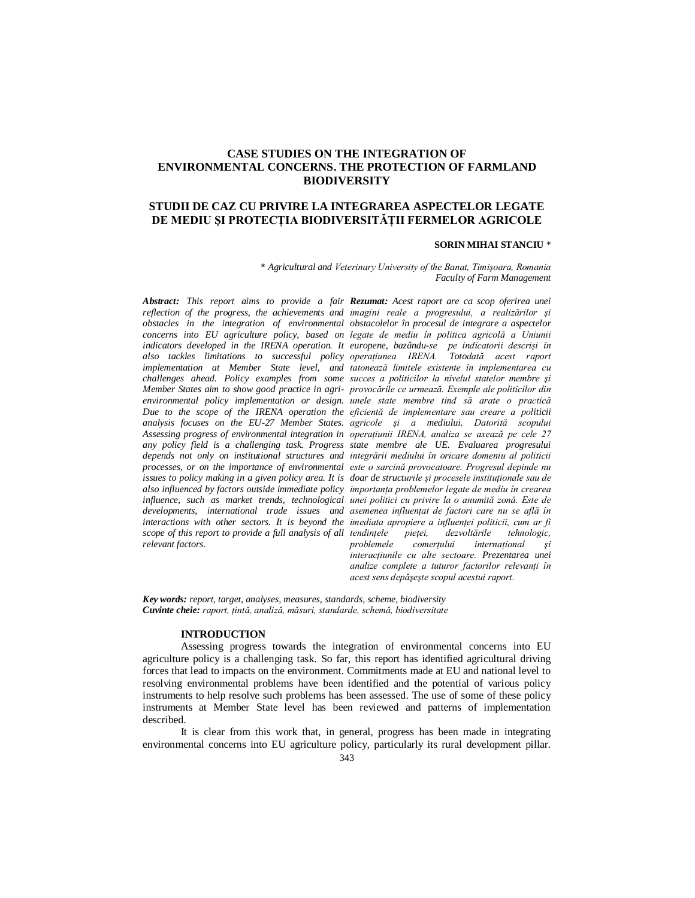# **CASE STUDIES ON THE INTEGRATION OF ENVIRONMENTAL CONCERNS. THE PROTECTION OF FARMLAND BIODIVERSITY**

# **STUDII DE CAZ CU PRIVIRE LA INTEGRAREA ASPECTELOR LEGATE DE MEDIU ŞI PROTECŢIA BIODIVERSITĂŢII FERMELOR AGRICOLE**

## **SORIN MIHAI STANCIU** \*

\* *Agricultural and Veterinary University of the Banat, Timişoara, Romania Faculty of Farm Management*

*scope of this report to provide a full analysis of all tendintele relevant factors.*

*Abstract: This report aims to provide a fair Rezumat: Acest raport are ca scop oferirea unei reflection of the progress, the achievements and imagini reale a progresului, a realizărilor şi obstacles in the integration of environmental obstacolelor în procesul de integrare a aspectelor concerns into EU agriculture policy, based on legate de mediu în politica agricolă a Uniunii indicators developed in the IRENA operation. It europene, bazându-se pe indicatorii descrişi în also tackles limitations to successful policy operaţiunea IRENA. Totodată acest raport implementation at Member State level, and tatonează limitele existente în implementarea cu challenges ahead. Policy examples from some succes a politicilor la nivelul statelor membre şi Member States aim to show good practice in agri-provocările ce urmează. Exemple ale politicilor din environmental policy implementation or design. unele state membre tind să arate o practică Due to the scope of the IRENA operation the eficientă de implementare sau creare a politicii analysis focuses on the EU-27 Member States. agricole şi a mediului. Datorită scopului Assessing progress of environmental integration in operaţiunii IRENA, analiza se axează pe cele 27 any policy field is a challenging task. Progress state membre ale UE. Evaluarea progresului*  depends not only on institutional structures and integrării mediului în oricare domeniu al politicii *processes, or on the importance of environmental este o sarcină provocatoare. Progresul depinde nu issues to policy making in a given policy area. It is doar de structurile şi procesele instituţionale sau de also influenced by factors outside immediate policy importanţa problemelor legate de mediu în crearea influence, such as market trends, technological unei politici cu privire la o anumită zonă. Este de developments, international trade issues and asemenea influenţat de factori care nu se află în interactions with other sectors. It is beyond the imediata apropiere a influenţei politicii, cum ar fi tendinţele pieţei, dezvoltările tehnologic, problemele comerţului internaţional şi interacţiunile cu alte sectoare. Prezentarea unei analize complete a tuturor factorilor relevanti în acest sens depăşeşte scopul acestui raport.*

*Key words: report, target, analyses, measures, standards, scheme, biodiversity Cuvinte cheie: raport, ţintă, analiză, măsuri, standarde, schemă, biodiversitate*

#### **INTRODUCTION**

Assessing progress towards the integration of environmental concerns into EU agriculture policy is a challenging task. So far, this report has identified agricultural driving forces that lead to impacts on the environment. Commitments made at EU and national level to resolving environmental problems have been identified and the potential of various policy instruments to help resolve such problems has been assessed. The use of some of these policy instruments at Member State level has been reviewed and patterns of implementation described.

It is clear from this work that, in general, progress has been made in integrating environmental concerns into EU agriculture policy, particularly its rural development pillar.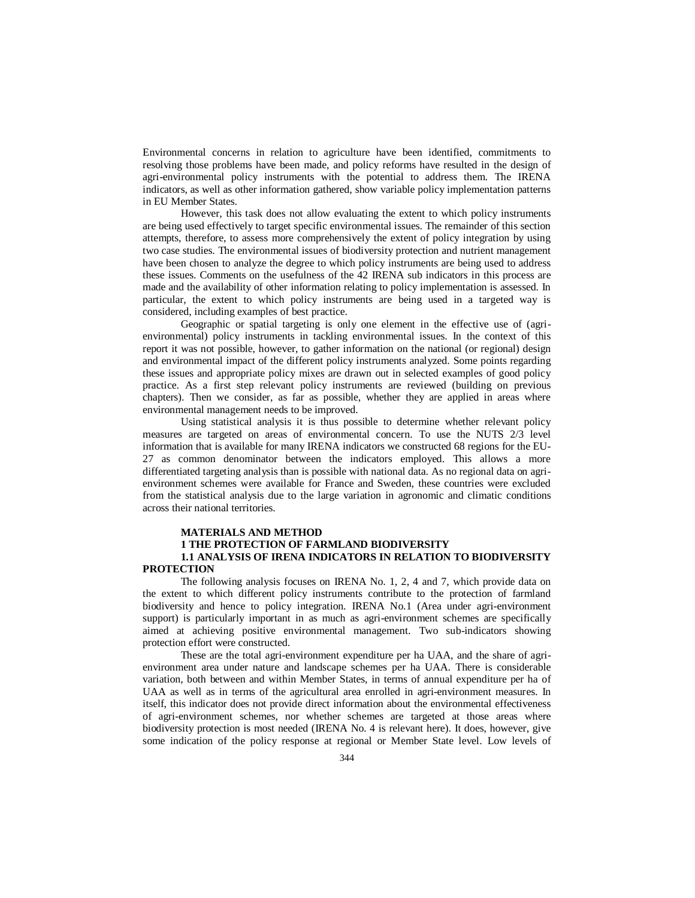Environmental concerns in relation to agriculture have been identified, commitments to resolving those problems have been made, and policy reforms have resulted in the design of agri-environmental policy instruments with the potential to address them. The IRENA indicators, as well as other information gathered, show variable policy implementation patterns in EU Member States.

However, this task does not allow evaluating the extent to which policy instruments are being used effectively to target specific environmental issues. The remainder of this section attempts, therefore, to assess more comprehensively the extent of policy integration by using two case studies. The environmental issues of biodiversity protection and nutrient management have been chosen to analyze the degree to which policy instruments are being used to address these issues. Comments on the usefulness of the 42 IRENA sub indicators in this process are made and the availability of other information relating to policy implementation is assessed. In particular, the extent to which policy instruments are being used in a targeted way is considered, including examples of best practice.

Geographic or spatial targeting is only one element in the effective use of (agrienvironmental) policy instruments in tackling environmental issues. In the context of this report it was not possible, however, to gather information on the national (or regional) design and environmental impact of the different policy instruments analyzed. Some points regarding these issues and appropriate policy mixes are drawn out in selected examples of good policy practice. As a first step relevant policy instruments are reviewed (building on previous chapters). Then we consider, as far as possible, whether they are applied in areas where environmental management needs to be improved.

Using statistical analysis it is thus possible to determine whether relevant policy measures are targeted on areas of environmental concern. To use the NUTS 2/3 level information that is available for many IRENA indicators we constructed 68 regions for the EU-27 as common denominator between the indicators employed. This allows a more differentiated targeting analysis than is possible with national data. As no regional data on agrienvironment schemes were available for France and Sweden, these countries were excluded from the statistical analysis due to the large variation in agronomic and climatic conditions across their national territories.

## **MATERIALS AND METHOD**

## **1 THE PROTECTION OF FARMLAND BIODIVERSITY 1.1 ANALYSIS OF IRENA INDICATORS IN RELATION TO BIODIVERSITY PROTECTION**

The following analysis focuses on IRENA No. 1, 2, 4 and 7, which provide data on the extent to which different policy instruments contribute to the protection of farmland biodiversity and hence to policy integration. IRENA No.1 (Area under agri-environment support) is particularly important in as much as agri-environment schemes are specifically aimed at achieving positive environmental management. Two sub-indicators showing protection effort were constructed.

These are the total agri-environment expenditure per ha UAA, and the share of agrienvironment area under nature and landscape schemes per ha UAA. There is considerable variation, both between and within Member States, in terms of annual expenditure per ha of UAA as well as in terms of the agricultural area enrolled in agri-environment measures. In itself, this indicator does not provide direct information about the environmental effectiveness of agri-environment schemes, nor whether schemes are targeted at those areas where biodiversity protection is most needed (IRENA No. 4 is relevant here). It does, however, give some indication of the policy response at regional or Member State level. Low levels of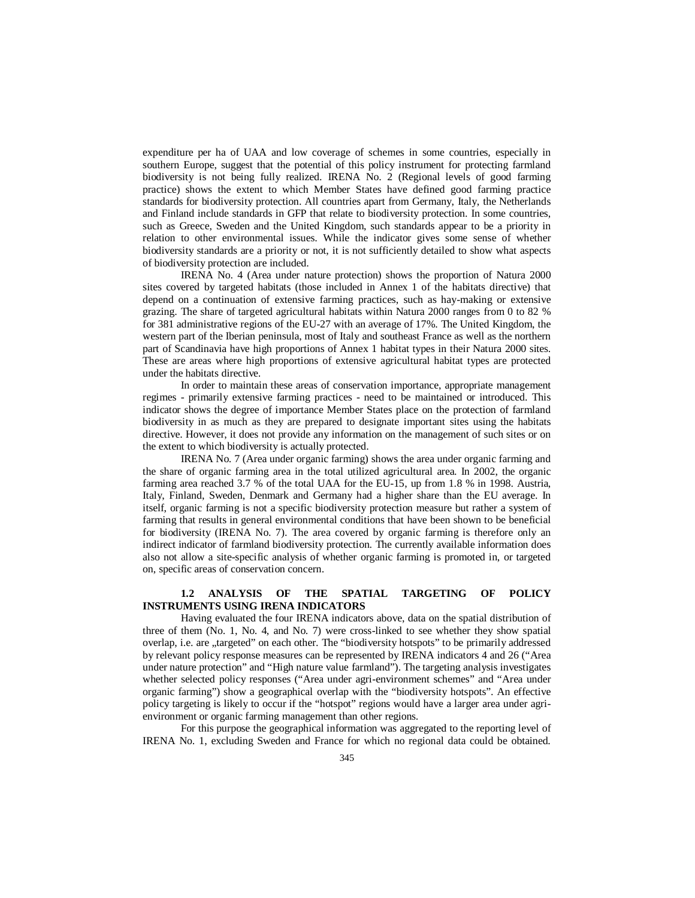expenditure per ha of UAA and low coverage of schemes in some countries, especially in southern Europe, suggest that the potential of this policy instrument for protecting farmland biodiversity is not being fully realized. IRENA No. 2 (Regional levels of good farming practice) shows the extent to which Member States have defined good farming practice standards for biodiversity protection. All countries apart from Germany, Italy, the Netherlands and Finland include standards in GFP that relate to biodiversity protection. In some countries, such as Greece, Sweden and the United Kingdom, such standards appear to be a priority in relation to other environmental issues. While the indicator gives some sense of whether biodiversity standards are a priority or not, it is not sufficiently detailed to show what aspects of biodiversity protection are included.

IRENA No. 4 (Area under nature protection) shows the proportion of Natura 2000 sites covered by targeted habitats (those included in Annex 1 of the habitats directive) that depend on a continuation of extensive farming practices, such as hay-making or extensive grazing. The share of targeted agricultural habitats within Natura 2000 ranges from 0 to 82 % for 381 administrative regions of the EU-27 with an average of 17%. The United Kingdom, the western part of the Iberian peninsula, most of Italy and southeast France as well as the northern part of Scandinavia have high proportions of Annex 1 habitat types in their Natura 2000 sites. These are areas where high proportions of extensive agricultural habitat types are protected under the habitats directive.

In order to maintain these areas of conservation importance, appropriate management regimes - primarily extensive farming practices - need to be maintained or introduced. This indicator shows the degree of importance Member States place on the protection of farmland biodiversity in as much as they are prepared to designate important sites using the habitats directive. However, it does not provide any information on the management of such sites or on the extent to which biodiversity is actually protected.

IRENA No. 7 (Area under organic farming) shows the area under organic farming and the share of organic farming area in the total utilized agricultural area. In 2002, the organic farming area reached 3.7 % of the total UAA for the EU-15, up from 1.8 % in 1998. Austria, Italy, Finland, Sweden, Denmark and Germany had a higher share than the EU average. In itself, organic farming is not a specific biodiversity protection measure but rather a system of farming that results in general environmental conditions that have been shown to be beneficial for biodiversity (IRENA No. 7). The area covered by organic farming is therefore only an indirect indicator of farmland biodiversity protection. The currently available information does also not allow a site-specific analysis of whether organic farming is promoted in, or targeted on, specific areas of conservation concern.

# **1.2 ANALYSIS OF THE SPATIAL TARGETING OF POLICY INSTRUMENTS USING IRENA INDICATORS**

Having evaluated the four IRENA indicators above, data on the spatial distribution of three of them (No. 1, No. 4, and No. 7) were cross-linked to see whether they show spatial overlap, i.e. are "targeted" on each other. The "biodiversity hotspots" to be primarily addressed by relevant policy response measures can be represented by IRENA indicators 4 and 26 ("Area under nature protection" and "High nature value farmland"). The targeting analysis investigates whether selected policy responses ("Area under agri-environment schemes" and "Area under organic farming") show a geographical overlap with the "biodiversity hotspots". An effective policy targeting is likely to occur if the "hotspot" regions would have a larger area under agrienvironment or organic farming management than other regions.

For this purpose the geographical information was aggregated to the reporting level of IRENA No. 1, excluding Sweden and France for which no regional data could be obtained.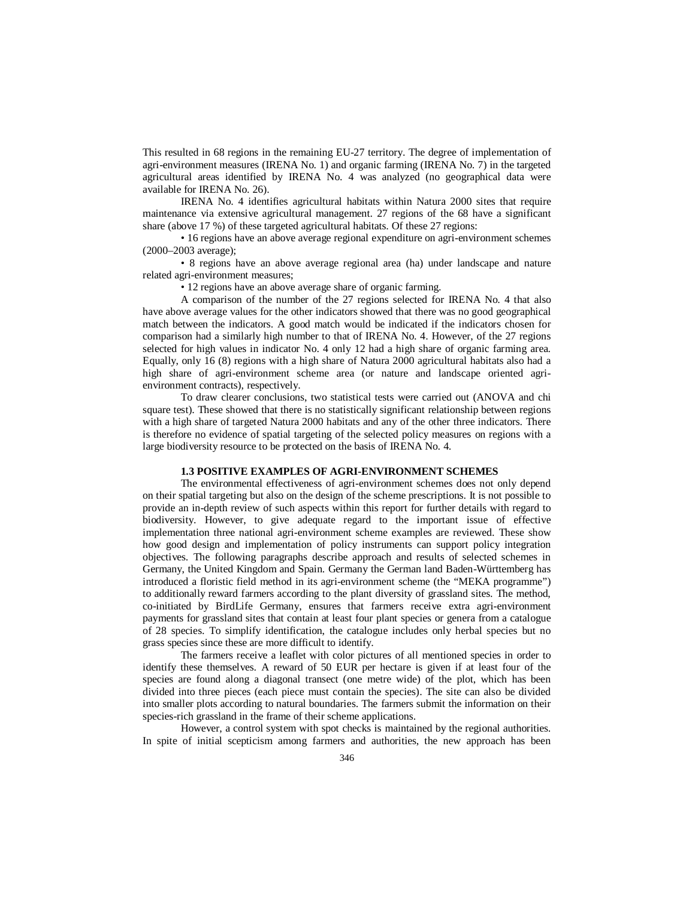This resulted in 68 regions in the remaining EU-27 territory. The degree of implementation of agri-environment measures (IRENA No. 1) and organic farming (IRENA No. 7) in the targeted agricultural areas identified by IRENA No. 4 was analyzed (no geographical data were available for IRENA No. 26).

IRENA No. 4 identifies agricultural habitats within Natura 2000 sites that require maintenance via extensive agricultural management. 27 regions of the 68 have a significant share (above 17 %) of these targeted agricultural habitats. Of these 27 regions:

• 16 regions have an above average regional expenditure on agri-environment schemes (2000–2003 average);

• 8 regions have an above average regional area (ha) under landscape and nature related agri-environment measures;

• 12 regions have an above average share of organic farming.

A comparison of the number of the 27 regions selected for IRENA No. 4 that also have above average values for the other indicators showed that there was no good geographical match between the indicators. A good match would be indicated if the indicators chosen for comparison had a similarly high number to that of IRENA No. 4. However, of the 27 regions selected for high values in indicator No. 4 only 12 had a high share of organic farming area. Equally, only 16 (8) regions with a high share of Natura 2000 agricultural habitats also had a high share of agri-environment scheme area (or nature and landscape oriented agrienvironment contracts), respectively.

To draw clearer conclusions, two statistical tests were carried out (ANOVA and chi square test). These showed that there is no statistically significant relationship between regions with a high share of targeted Natura 2000 habitats and any of the other three indicators. There is therefore no evidence of spatial targeting of the selected policy measures on regions with a large biodiversity resource to be protected on the basis of IRENA No. 4.

## **1.3 POSITIVE EXAMPLES OF AGRI-ENVIRONMENT SCHEMES**

The environmental effectiveness of agri-environment schemes does not only depend on their spatial targeting but also on the design of the scheme prescriptions. It is not possible to provide an in-depth review of such aspects within this report for further details with regard to biodiversity. However, to give adequate regard to the important issue of effective implementation three national agri-environment scheme examples are reviewed. These show how good design and implementation of policy instruments can support policy integration objectives. The following paragraphs describe approach and results of selected schemes in Germany, the United Kingdom and Spain. Germany the German land Baden-Württemberg has introduced a floristic field method in its agri-environment scheme (the "MEKA programme") to additionally reward farmers according to the plant diversity of grassland sites. The method, co-initiated by BirdLife Germany, ensures that farmers receive extra agri-environment payments for grassland sites that contain at least four plant species or genera from a catalogue of 28 species. To simplify identification, the catalogue includes only herbal species but no grass species since these are more difficult to identify.

The farmers receive a leaflet with color pictures of all mentioned species in order to identify these themselves. A reward of 50 EUR per hectare is given if at least four of the species are found along a diagonal transect (one metre wide) of the plot, which has been divided into three pieces (each piece must contain the species). The site can also be divided into smaller plots according to natural boundaries. The farmers submit the information on their species-rich grassland in the frame of their scheme applications.

However, a control system with spot checks is maintained by the regional authorities. In spite of initial scepticism among farmers and authorities, the new approach has been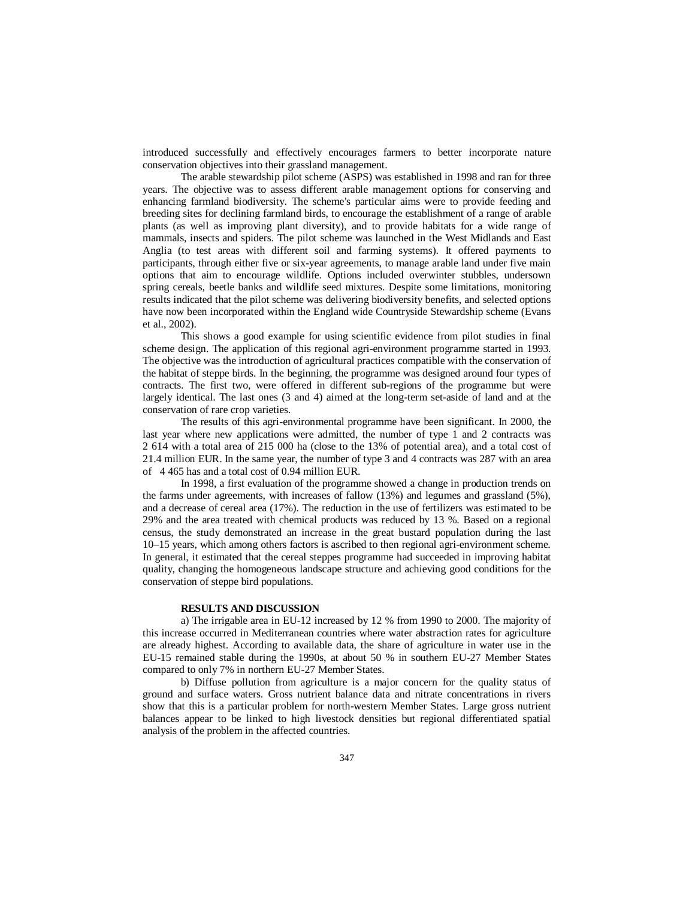introduced successfully and effectively encourages farmers to better incorporate nature conservation objectives into their grassland management.

The arable stewardship pilot scheme (ASPS) was established in 1998 and ran for three years. The objective was to assess different arable management options for conserving and enhancing farmland biodiversity. The scheme's particular aims were to provide feeding and breeding sites for declining farmland birds, to encourage the establishment of a range of arable plants (as well as improving plant diversity), and to provide habitats for a wide range of mammals, insects and spiders. The pilot scheme was launched in the West Midlands and East Anglia (to test areas with different soil and farming systems). It offered payments to participants, through either five or six-year agreements, to manage arable land under five main options that aim to encourage wildlife. Options included overwinter stubbles, undersown spring cereals, beetle banks and wildlife seed mixtures. Despite some limitations, monitoring results indicated that the pilot scheme was delivering biodiversity benefits, and selected options have now been incorporated within the England wide Countryside Stewardship scheme (Evans et al., 2002).

This shows a good example for using scientific evidence from pilot studies in final scheme design. The application of this regional agri-environment programme started in 1993. The objective was the introduction of agricultural practices compatible with the conservation of the habitat of steppe birds. In the beginning, the programme was designed around four types of contracts. The first two, were offered in different sub-regions of the programme but were largely identical. The last ones (3 and 4) aimed at the long-term set-aside of land and at the conservation of rare crop varieties.

The results of this agri-environmental programme have been significant. In 2000, the last year where new applications were admitted, the number of type 1 and 2 contracts was 2 614 with a total area of 215 000 ha (close to the 13% of potential area), and a total cost of 21.4 million EUR. In the same year, the number of type 3 and 4 contracts was 287 with an area of 4 465 has and a total cost of 0.94 million EUR.

In 1998, a first evaluation of the programme showed a change in production trends on the farms under agreements, with increases of fallow (13%) and legumes and grassland (5%), and a decrease of cereal area (17%). The reduction in the use of fertilizers was estimated to be 29% and the area treated with chemical products was reduced by 13 %. Based on a regional census, the study demonstrated an increase in the great bustard population during the last 10–15 years, which among others factors is ascribed to then regional agri-environment scheme. In general, it estimated that the cereal steppes programme had succeeded in improving habitat quality, changing the homogeneous landscape structure and achieving good conditions for the conservation of steppe bird populations.

## **RESULTS AND DISCUSSION**

a) The irrigable area in EU-12 increased by 12 % from 1990 to 2000. The majority of this increase occurred in Mediterranean countries where water abstraction rates for agriculture are already highest. According to available data, the share of agriculture in water use in the EU-15 remained stable during the 1990s, at about 50 % in southern EU-27 Member States compared to only 7% in northern EU-27 Member States.

b) Diffuse pollution from agriculture is a major concern for the quality status of ground and surface waters. Gross nutrient balance data and nitrate concentrations in rivers show that this is a particular problem for north-western Member States. Large gross nutrient balances appear to be linked to high livestock densities but regional differentiated spatial analysis of the problem in the affected countries.